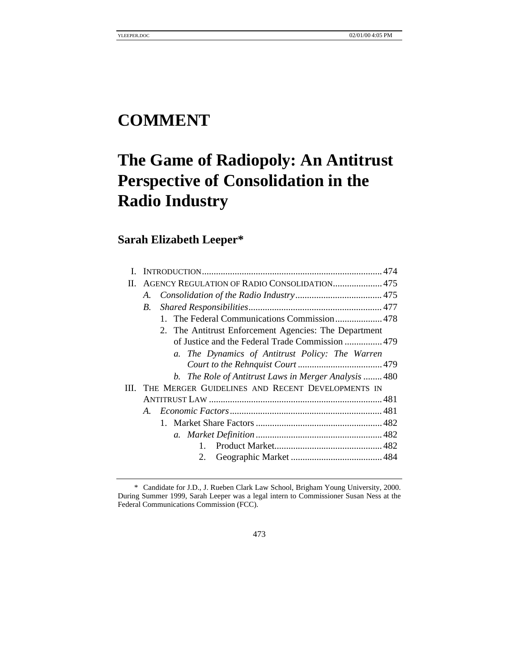# **COMMENT**

# **The Game of Radiopoly: An Antitrust Perspective of Consolidation in the Radio Industry**

# **Sarah Elizabeth Leeper\***

| H. |             | AGENCY REGULATION OF RADIO CONSOLIDATION 475          |  |
|----|-------------|-------------------------------------------------------|--|
|    | A.          |                                                       |  |
|    | B.          |                                                       |  |
|    |             | 1. The Federal Communications Commission 478          |  |
|    |             | 2. The Antitrust Enforcement Agencies: The Department |  |
|    |             | of Justice and the Federal Trade Commission  479      |  |
|    |             | a. The Dynamics of Antitrust Policy: The Warren       |  |
|    |             |                                                       |  |
|    |             | b. The Role of Antitrust Laws in Merger Analysis  480 |  |
| Ш. |             | THE MERGER GUIDELINES AND RECENT DEVELOPMENTS IN      |  |
|    |             |                                                       |  |
|    | $A_{\cdot}$ |                                                       |  |
|    |             |                                                       |  |
|    |             |                                                       |  |
|    |             |                                                       |  |
|    |             | 2.                                                    |  |
|    |             |                                                       |  |

473

<sup>\*</sup> Candidate for J.D., J. Rueben Clark Law School, Brigham Young University, 2000. During Summer 1999, Sarah Leeper was a legal intern to Commissioner Susan Ness at the Federal Communications Commission (FCC).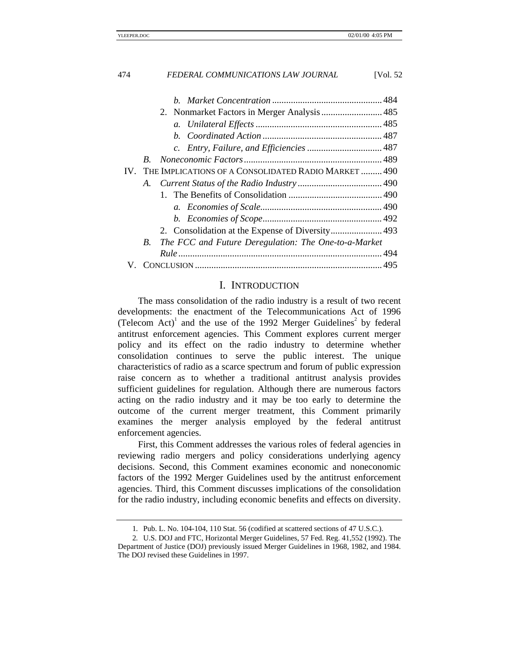|     | 2. Nonmarket Factors in Merger Analysis  485               |  |
|-----|------------------------------------------------------------|--|
|     |                                                            |  |
|     |                                                            |  |
|     |                                                            |  |
|     |                                                            |  |
| IV. | THE IMPLICATIONS OF A CONSOLIDATED RADIO MARKET  490       |  |
|     |                                                            |  |
|     |                                                            |  |
|     |                                                            |  |
|     |                                                            |  |
|     |                                                            |  |
|     | The FCC and Future Deregulation: The One-to-a-Market<br>B. |  |
|     |                                                            |  |
|     |                                                            |  |

#### I. INTRODUCTION

The mass consolidation of the radio industry is a result of two recent developments: the enactment of the Telecommunications Act of 1996 (Telecom Act)<sup>1</sup> and the use of the 1992 Merger Guidelines<sup>2</sup> by federal antitrust enforcement agencies. This Comment explores current merger policy and its effect on the radio industry to determine whether consolidation continues to serve the public interest. The unique characteristics of radio as a scarce spectrum and forum of public expression raise concern as to whether a traditional antitrust analysis provides sufficient guidelines for regulation. Although there are numerous factors acting on the radio industry and it may be too early to determine the outcome of the current merger treatment, this Comment primarily examines the merger analysis employed by the federal antitrust enforcement agencies.

First, this Comment addresses the various roles of federal agencies in reviewing radio mergers and policy considerations underlying agency decisions. Second, this Comment examines economic and noneconomic factors of the 1992 Merger Guidelines used by the antitrust enforcement agencies. Third, this Comment discusses implications of the consolidation for the radio industry, including economic benefits and effects on diversity.

<sup>1</sup>*.* Pub. L. No. 104-104, 110 Stat. 56 (codified at scattered sections of 47 U.S.C.).

<sup>2</sup>*.* U.S. DOJ and FTC, Horizontal Merger Guidelines, 57 Fed. Reg. 41,552 (1992). The Department of Justice (DOJ) previously issued Merger Guidelines in 1968, 1982, and 1984. The DOJ revised these Guidelines in 1997.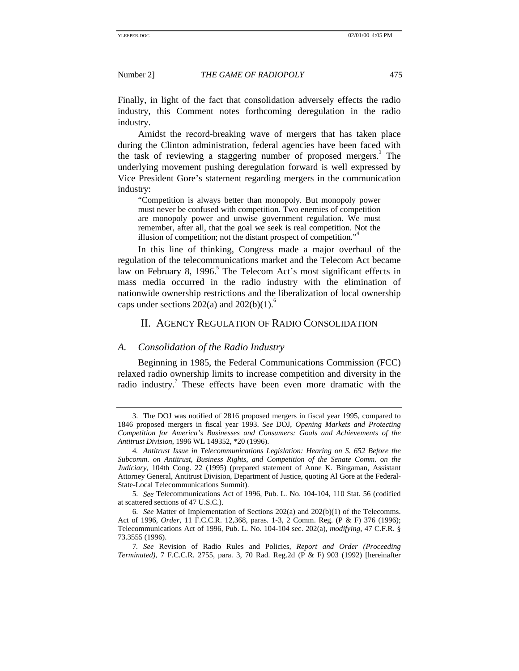Finally, in light of the fact that consolidation adversely effects the radio industry, this Comment notes forthcoming deregulation in the radio industry.

Amidst the record-breaking wave of mergers that has taken place during the Clinton administration, federal agencies have been faced with the task of reviewing a staggering number of proposed mergers.<sup>3</sup> The underlying movement pushing deregulation forward is well expressed by Vice President Gore's statement regarding mergers in the communication industry:

"Competition is always better than monopoly. But monopoly power must never be confused with competition. Two enemies of competition are monopoly power and unwise government regulation. We must remember, after all, that the goal we seek is real competition. Not the illusion of competition; not the distant prospect of competition."

In this line of thinking, Congress made a major overhaul of the regulation of the telecommunications market and the Telecom Act became law on February 8, 1996.<sup>5</sup> The Telecom Act's most significant effects in mass media occurred in the radio industry with the elimination of nationwide ownership restrictions and the liberalization of local ownership caps under sections  $202(a)$  and  $202(b)(1)$ .<sup>6</sup>

### II. AGENCY REGULATION OF RADIO CONSOLIDATION

#### *A. Consolidation of the Radio Industry*

Beginning in 1985, the Federal Communications Commission (FCC) relaxed radio ownership limits to increase competition and diversity in the radio industry.<sup>7</sup> These effects have been even more dramatic with the

<sup>3.</sup> The DOJ was notified of 2816 proposed mergers in fiscal year 1995, compared to 1846 proposed mergers in fiscal year 1993. *See* DOJ, *Opening Markets and Protecting Competition for America's Businesses and Consumers: Goals and Achievements of the Antitrust Division*, 1996 WL 149352, \*20 (1996).

<sup>4</sup>*. Antitrust Issue in Telecommunications Legislation: Hearing on S. 652 Before the Subcomm. on Antitrust, Business Rights, and Competition of the Senate Comm. on the Judiciary*, 104th Cong. 22 (1995) (prepared statement of Anne K. Bingaman, Assistant Attorney General, Antitrust Division, Department of Justice, quoting Al Gore at the Federal-State-Local Telecommunications Summit).

<sup>5.</sup> *See* Telecommunications Act of 1996, Pub. L. No. 104-104, 110 Stat. 56 (codified at scattered sections of 47 U.S.C.).

<sup>6.</sup> *See* Matter of Implementation of Sections 202(a) and 202(b)(1) of the Telecomms. Act of 1996, *Order*, 11 F.C.C.R. 12,368, paras. 1-3, 2 Comm. Reg. (P & F) 376 (1996); Telecommunications Act of 1996, Pub. L. No. 104-104 sec. 202(a), *modifying*, 47 C.F.R. § 73.3555 (1996).

<sup>7</sup>*. See* Revision of Radio Rules and Policies, *Report and Order (Proceeding Terminated)*, 7 F.C.C.R. 2755, para. 3, 70 Rad. Reg.2d (P & F) 903 (1992) [hereinafter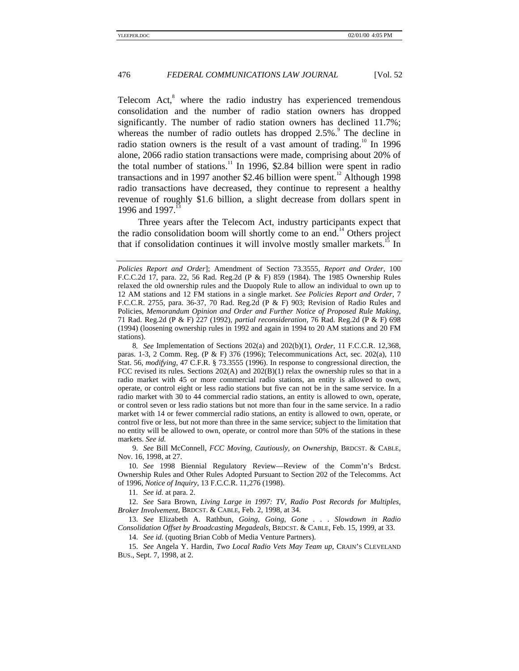Telecom Act,<sup>8</sup> where the radio industry has experienced tremendous consolidation and the number of radio station owners has dropped significantly. The number of radio station owners has declined 11.7%; whereas the number of radio outlets has dropped  $2.5\%$ . The decline in radio station owners is the result of a vast amount of trading.<sup>10</sup> In 1996 alone, 2066 radio station transactions were made, comprising about 20% of the total number of stations.<sup>11</sup> In 1996, \$2.84 billion were spent in radio transactions and in 1997 another \$2.46 billion were spent.<sup>12</sup> Although 1998 radio transactions have decreased, they continue to represent a healthy revenue of roughly \$1.6 billion, a slight decrease from dollars spent in 1996 and 1997.<sup>13</sup>

Three years after the Telecom Act, industry participants expect that the radio consolidation boom will shortly come to an end.<sup>14</sup> Others project that if consolidation continues it will involve mostly smaller markets.<sup>15</sup> In

9. *See* Bill McConnell, *FCC Moving, Cautiously, on Ownership*, BRDCST. & CABLE*,* Nov. 16, 1998, at 27.

10. *See* 1998 Biennial Regulatory Review—Review of the Comm'n's Brdcst. Ownership Rules and Other Rules Adopted Pursuant to Section 202 of the Telecomms. Act of 1996, *Notice of Inquiry*, 13 F.C.C.R. 11,276 (1998).

11*. See id.* at para. 2.

12. *See* Sara Brown, *Living Large in 1997: TV, Radio Post Records for Multiples, Broker Involvement*, BRDCST. & CABLE, Feb. 2, 1998, at 34.

13. *See* Elizabeth A. Rathbun, *Going, Going, Gone . . . Slowdown in Radio Consolidation Offset by Broadcasting Megadeals*, BRDCST. & CABLE*,* Feb. 15, 1999, at 33.

14. *See id.* (quoting Brian Cobb of Media Venture Partners).

15. *See* Angela Y. Hardin, *Two Local Radio Vets May Team up*, CRAIN'S CLEVELAND BUS., Sept. 7, 1998, at 2.

*Policies Report and Order*]; Amendment of Section 73.3555, *Report and Order*, 100 F.C.C.2d 17, para. 22, 56 Rad. Reg.2d (P & F) 859 (1984). The 1985 Ownership Rules relaxed the old ownership rules and the Duopoly Rule to allow an individual to own up to 12 AM stations and 12 FM stations in a single market. *See Policies Report and Order*, 7 F.C.C.R. 2755, para. 36-37, 70 Rad. Reg.2d (P & F) 903; Revision of Radio Rules and Policies, *Memorandum Opinion and Order and Further Notice of Proposed Rule Making*, 71 Rad. Reg.2d (P & F) 227 (1992), *partial reconsideration,* 76 Rad. Reg.2d (P & F) 698 (1994) (loosening ownership rules in 1992 and again in 1994 to 20 AM stations and 20 FM stations).

<sup>8</sup>*. See* Implementation of Sections 202(a) and 202(b)(1), *Order*, 11 F.C.C.R. 12,368, paras. 1-3, 2 Comm. Reg. (P & F) 376 (1996); Telecommunications Act, sec. 202(a), 110 Stat. 56, *modifying*, 47 C.F.R. § 73.3555 (1996). In response to congressional direction, the FCC revised its rules. Sections  $202(A)$  and  $202(B)(1)$  relax the ownership rules so that in a radio market with 45 or more commercial radio stations, an entity is allowed to own, operate, or control eight or less radio stations but five can not be in the same service. In a radio market with 30 to 44 commercial radio stations, an entity is allowed to own, operate, or control seven or less radio stations but not more than four in the same service. In a radio market with 14 or fewer commercial radio stations, an entity is allowed to own, operate, or control five or less, but not more than three in the same service; subject to the limitation that no entity will be allowed to own, operate, or control more than 50% of the stations in these markets. *See id.*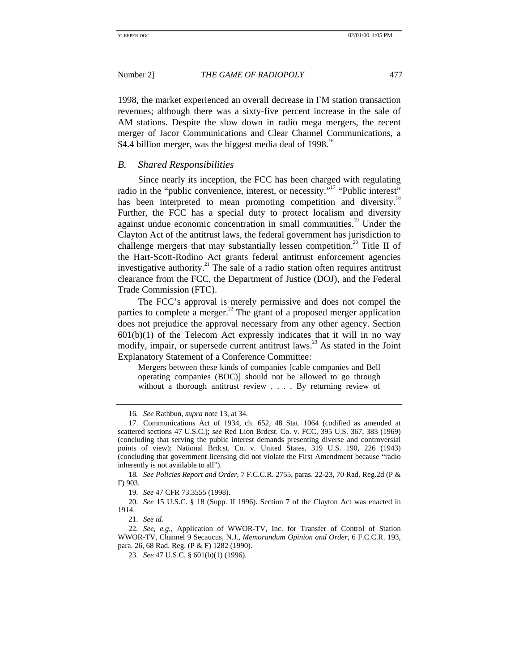1998, the market experienced an overall decrease in FM station transaction revenues; although there was a sixty-five percent increase in the sale of AM stations. Despite the slow down in radio mega mergers, the recent merger of Jacor Communications and Clear Channel Communications, a \$4.4 billion merger, was the biggest media deal of 1998.<sup>16</sup>

#### *B. Shared Responsibilities*

Since nearly its inception, the FCC has been charged with regulating radio in the "public convenience, interest, or necessity."<sup>17</sup> "Public interest" has been interpreted to mean promoting competition and diversity.<sup>18</sup> Further, the FCC has a special duty to protect localism and diversity against undue economic concentration in small communities.<sup>19</sup> Under the Clayton Act of the antitrust laws, the federal government has jurisdiction to challenge mergers that may substantially lessen competition.<sup>20</sup> Title II of the Hart-Scott-Rodino Act grants federal antitrust enforcement agencies investigative authority.<sup>21</sup> The sale of a radio station often requires antitrust clearance from the FCC, the Department of Justice (DOJ), and the Federal Trade Commission (FTC).

The FCC's approval is merely permissive and does not compel the parties to complete a merger. $^{22}$  The grant of a proposed merger application does not prejudice the approval necessary from any other agency. Section  $601(b)(1)$  of the Telecom Act expressly indicates that it will in no way modify, impair, or supersede current antitrust laws.<sup>23</sup> As stated in the Joint Explanatory Statement of a Conference Committee:

Mergers between these kinds of companies [cable companies and Bell operating companies (BOC)] should not be allowed to go through without a thorough antitrust review . . . . By returning review of

<sup>16</sup>*. See* Rathbun, *supra* note 13, at 34.

<sup>17.</sup> Communications Act of 1934, ch. 652, 48 Stat. 1064 (codified as amended at scattered sections 47 U.S.C.); *see* Red Lion Brdcst. Co. v. FCC*,* 395 U.S. 367, 383 (1969) (concluding that serving the public interest demands presenting diverse and controversial points of view); National Brdcst. Co. v. United States, 319 U.S. 190, 226 (1943) (concluding that government licensing did not violate the First Amendment because "radio inherently is not available to all").

<sup>18</sup>*. See Policies Report and Order*, 7 F.C.C.R. 2755, paras. 22-23, 70 Rad. Reg.2d (P & F) 903.

<sup>19.</sup> *See* 47 CFR 73.3555 (1998).

<sup>20.</sup> *See* 15 U.S.C. § 18 (Supp. II 1996). Section 7 of the Clayton Act was enacted in 1914.

<sup>21.</sup> *See id.*

<sup>22</sup>*. See, e.g.*, Application of WWOR-TV, Inc. for Transfer of Control of Station WWOR-TV, Channel 9 Secaucus, N.J., *Memorandum Opinion and Order*, 6 F.C.C.R. 193, para. 26, 68 Rad. Reg. (P & F) 1282 (1990).

<sup>23.</sup> *See* 47 U.S.C. § 601(b)(1) (1996).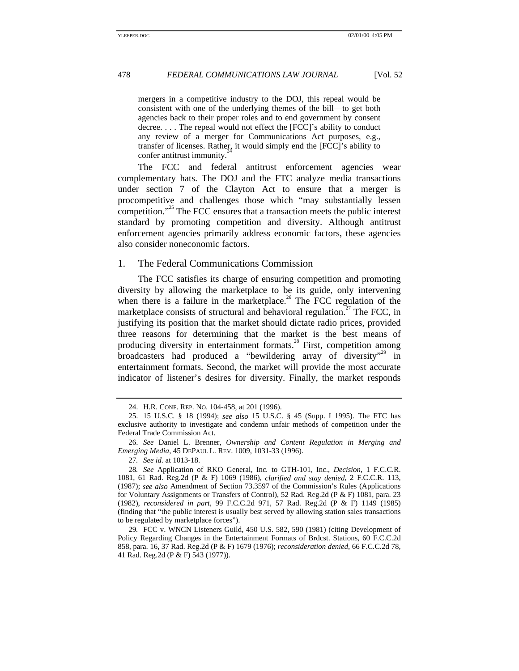mergers in a competitive industry to the DOJ, this repeal would be consistent with one of the underlying themes of the bill—to get both agencies back to their proper roles and to end government by consent decree. . . . The repeal would not effect the [FCC]'s ability to conduct any review of a merger for Communications Act purposes, e.g., transfer of licenses. Rather, it would simply end the [FCC]'s ability to confer antitrust immunity.

The FCC and federal antitrust enforcement agencies wear complementary hats. The DOJ and the FTC analyze media transactions under section 7 of the Clayton Act to ensure that a merger is procompetitive and challenges those which "may substantially lessen competition." 25 The FCC ensures that a transaction meets the public interest standard by promoting competition and diversity. Although antitrust enforcement agencies primarily address economic factors, these agencies also consider noneconomic factors.

#### 1. The Federal Communications Commission

The FCC satisfies its charge of ensuring competition and promoting diversity by allowing the marketplace to be its guide, only intervening when there is a failure in the marketplace.<sup>26</sup> The FCC regulation of the marketplace consists of structural and behavioral regulation.<sup>27</sup> The FCC, in justifying its position that the market should dictate radio prices, provided three reasons for determining that the market is the best means of producing diversity in entertainment formats.<sup>28</sup> First, competition among broadcasters had produced a "bewildering array of diversity"<sup>29</sup> in entertainment formats. Second, the market will provide the most accurate indicator of listener's desires for diversity. Finally, the market responds

<sup>24.</sup> H.R. CONF. REP. NO. 104-458, at 201 (1996).

<sup>25. 15</sup> U.S.C. § 18 (1994); *see also* 15 U.S.C. § 45 (Supp. I 1995). The FTC has exclusive authority to investigate and condemn unfair methods of competition under the Federal Trade Commission Act.

<sup>26.</sup> *See* Daniel L. Brenner, *Ownership and Content Regulation in Merging and Emerging Media*, 45 DEPAUL L. REV. 1009, 1031-33 (1996).

<sup>27</sup>*. See id.* at 1013-18.

<sup>28</sup>*. See* Application of RKO General, Inc*.* to GTH-101, Inc., *Decision*, 1 F.C.C.R. 1081, 61 Rad. Reg.2d (P & F) 1069 (1986), *clarified and stay denied*, 2 F.C.C.R. 113, (1987); *see also* Amendment of Section 73.3597 of the Commission's Rules (Applications for Voluntary Assignments or Transfers of Control), 52 Rad. Reg.2d (P & F) 1081, para. 23 (1982), *reconsidered in part*, 99 F.C.C.2d 971, 57 Rad. Reg.2d (P & F) 1149 (1985) (finding that "the public interest is usually best served by allowing station sales transactions to be regulated by marketplace forces").

<sup>29</sup>*.* FCC v. WNCN Listeners Guild, 450 U.S. 582, 590 (1981) (citing Development of Policy Regarding Changes in the Entertainment Formats of Brdcst. Stations*,* 60 F.C.C.2d 858, para. 16, 37 Rad. Reg.2d (P & F) 1679 (1976); *reconsideration denied*, 66 F.C.C.2d 78, 41 Rad. Reg.2d (P & F) 543 (1977)).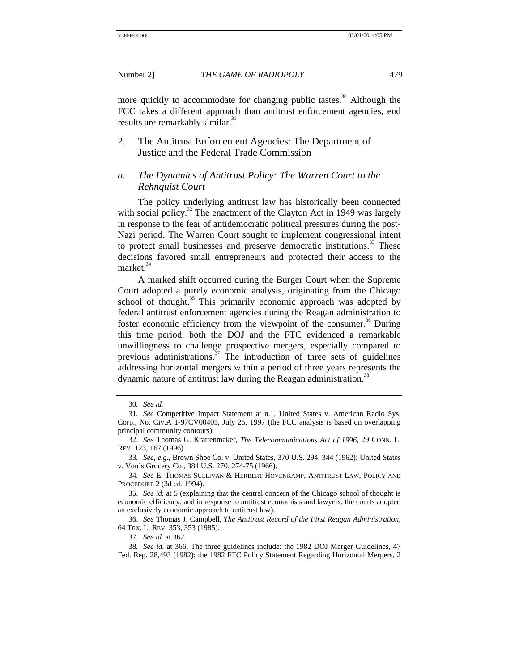more quickly to accommodate for changing public tastes.<sup>30</sup> Although the FCC takes a different approach than antitrust enforcement agencies, end results are remarkably similar.<sup>31</sup>

2. The Antitrust Enforcement Agencies: The Department of Justice and the Federal Trade Commission

# *a. The Dynamics of Antitrust Policy: The Warren Court to the Rehnquist Court*

The policy underlying antitrust law has historically been connected with social policy.<sup>32</sup> The enactment of the Clayton Act in 1949 was largely in response to the fear of antidemocratic political pressures during the post-Nazi period. The Warren Court sought to implement congressional intent to protect small businesses and preserve democratic institutions.<sup>33</sup> These decisions favored small entrepreneurs and protected their access to the market.<sup>34</sup>

A marked shift occurred during the Burger Court when the Supreme Court adopted a purely economic analysis, originating from the Chicago school of thought.<sup>35</sup> This primarily economic approach was adopted by federal antitrust enforcement agencies during the Reagan administration to foster economic efficiency from the viewpoint of the consumer.<sup>36</sup> During this time period, both the DOJ and the FTC evidenced a remarkable unwillingness to challenge prospective mergers, especially compared to previous administrations. $37$  The introduction of three sets of guidelines addressing horizontal mergers within a period of three years represents the dynamic nature of antitrust law during the Reagan administration.<sup>38</sup>

<sup>30</sup>*. See id.*

<sup>31</sup>*. See* Competitive Impact Statement at n.1, United States v. American Radio Sys. Corp., No. Civ.A 1-97CV00405, July 25, 1997 (the FCC analysis is based on overlapping principal community contours).

<sup>32.</sup> *See* Thomas G. Krattenmaker, *The Telecommunications Act of 1996*, 29 CONN. L. REV. 123, 167 (1996).

<sup>33</sup>*. See, e.g.*, Brown Shoe Co. v. United States*,* 370 U.S. 294, 344 (1962); United States v. Von's Grocery Co., 384 U.S. 270, 274-75 (1966).

<sup>34.</sup> *See* E. THOMAS SULLIVAN & HERBERT HOVENKAMP, ANTITRUST LAW, POLICY AND PROCEDURE 2 (3d ed. 1994).

<sup>35.</sup> *See id.* at 5 (explaining that the central concern of the Chicago school of thought is economic efficiency, and in response to antitrust economists and lawyers, the courts adopted an exclusively economic approach to antitrust law).

<sup>36.</sup> *See* Thomas J. Campbell, *The Antitrust Record of the First Reagan Administration*, 64 TEX. L. REV. 353, 353 (1985).

<sup>37</sup>*. See id.* at 362.

<sup>38</sup>*. See id.* at 366. The three guidelines include: the 1982 DOJ Merger Guidelines, 47 Fed. Reg. 28,493 (1982); the 1982 FTC Policy Statement Regarding Horizontal Mergers, 2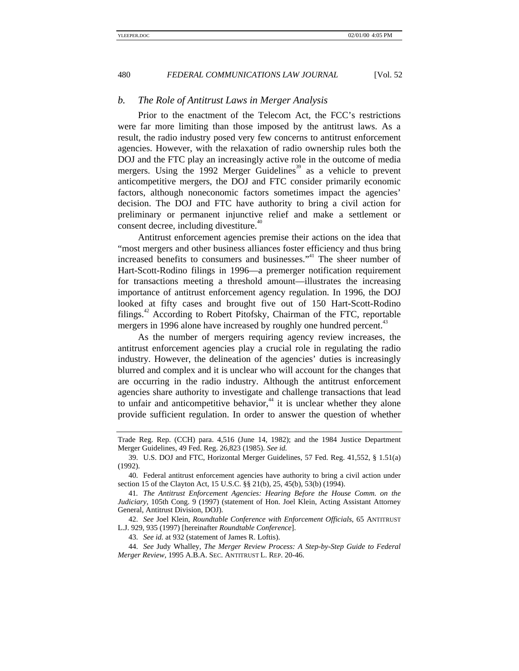#### *b. The Role of Antitrust Laws in Merger Analysis*

Prior to the enactment of the Telecom Act, the FCC's restrictions were far more limiting than those imposed by the antitrust laws. As a result, the radio industry posed very few concerns to antitrust enforcement agencies. However, with the relaxation of radio ownership rules both the DOJ and the FTC play an increasingly active role in the outcome of media mergers. Using the 1992 Merger Guidelines<sup>39</sup> as a vehicle to prevent anticompetitive mergers, the DOJ and FTC consider primarily economic factors, although noneconomic factors sometimes impact the agencies' decision. The DOJ and FTC have authority to bring a civil action for preliminary or permanent injunctive relief and make a settlement or consent decree, including divestiture.<sup>40</sup>

Antitrust enforcement agencies premise their actions on the idea that "most mergers and other business alliances foster efficiency and thus bring increased benefits to consumers and businesses." 41 The sheer number of Hart-Scott-Rodino filings in 1996—a premerger notification requirement for transactions meeting a threshold amount—illustrates the increasing importance of antitrust enforcement agency regulation. In 1996, the DOJ looked at fifty cases and brought five out of 150 Hart-Scott-Rodino filings.<sup>42</sup> According to Robert Pitofsky, Chairman of the FTC, reportable mergers in 1996 alone have increased by roughly one hundred percent.<sup>43</sup>

As the number of mergers requiring agency review increases, the antitrust enforcement agencies play a crucial role in regulating the radio industry. However, the delineation of the agencies' duties is increasingly blurred and complex and it is unclear who will account for the changes that are occurring in the radio industry. Although the antitrust enforcement agencies share authority to investigate and challenge transactions that lead to unfair and anticompetitive behavior, $44$  it is unclear whether they alone provide sufficient regulation. In order to answer the question of whether

42. *See* Joel Klein, *Roundtable Conference with Enforcement Officials*, 65 ANTITRUST L.J. 929, 935 (1997) [hereinafter *Roundtable Conference*].

43. *See id.* at 932 (statement of James R. Loftis).

44. *See* Judy Whalley, *The Merger Review Process: A Step-by-Step Guide to Federal Merger Review*, 1995 A.B.A. SEC. ANTITRUST L. REP. 20-46.

Trade Reg. Rep. (CCH) para. 4,516 (June 14, 1982); and the 1984 Justice Department Merger Guidelines, 49 Fed. Reg. 26,823 (1985). *See id.*

<sup>39.</sup> U.S. DOJ and FTC, Horizontal Merger Guidelines, 57 Fed. Reg. 41,552, § 1.51(a) (1992).

<sup>40.</sup> Federal antitrust enforcement agencies have authority to bring a civil action under section 15 of the Clayton Act, 15 U.S.C. §§ 21(b), 25, 45(b), 53(b) (1994).

<sup>41</sup>*. The Antitrust Enforcement Agencies: Hearing Before the House Comm. on the Judiciary*, 105th Cong. 9 (1997) (statement of Hon. Joel Klein, Acting Assistant Attorney General, Antitrust Division, DOJ).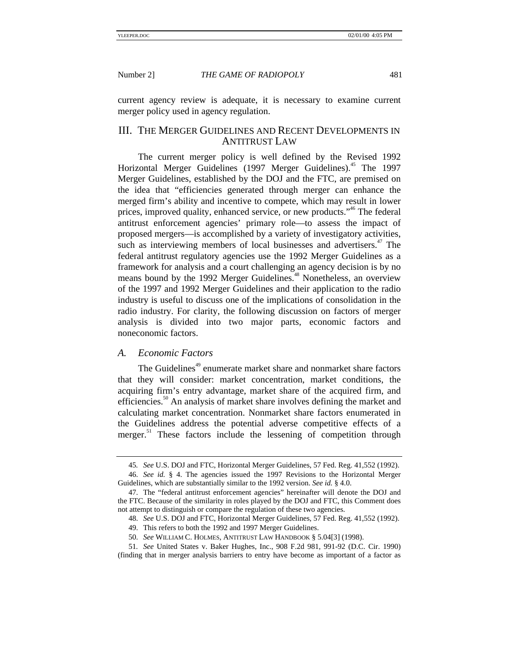current agency review is adequate, it is necessary to examine current merger policy used in agency regulation.

# III. THE MERGER GUIDELINES AND RECENT DEVELOPMENTS IN ANTITRUST LAW

The current merger policy is well defined by the Revised 1992 Horizontal Merger Guidelines (1997 Merger Guidelines).<sup>45</sup> The 1997 Merger Guidelines, established by the DOJ and the FTC, are premised on the idea that "efficiencies generated through merger can enhance the merged firm's ability and incentive to compete, which may result in lower prices, improved quality, enhanced service, or new products."<sup>46</sup> The federal antitrust enforcement agencies' primary role—to assess the impact of proposed mergers—is accomplished by a variety of investigatory activities, such as interviewing members of local businesses and advertisers.<sup>47</sup> The federal antitrust regulatory agencies use the 1992 Merger Guidelines as a framework for analysis and a court challenging an agency decision is by no means bound by the 1992 Merger Guidelines.<sup>48</sup> Nonetheless, an overview of the 1997 and 1992 Merger Guidelines and their application to the radio industry is useful to discuss one of the implications of consolidation in the radio industry. For clarity, the following discussion on factors of merger analysis is divided into two major parts, economic factors and noneconomic factors.

#### *A. Economic Factors*

The Guidelines<sup>49</sup> enumerate market share and nonmarket share factors that they will consider: market concentration, market conditions, the acquiring firm's entry advantage, market share of the acquired firm, and efficiencies.<sup>50</sup> An analysis of market share involves defining the market and calculating market concentration. Nonmarket share factors enumerated in the Guidelines address the potential adverse competitive effects of a merger.<sup>51</sup> These factors include the lessening of competition through

<sup>45</sup>*. See* U.S. DOJ and FTC, Horizontal Merger Guidelines, 57 Fed. Reg. 41,552 (1992).

<sup>46.</sup> *See id.* § 4. The agencies issued the 1997 Revisions to the Horizontal Merger Guidelines, which are substantially similar to the 1992 version. *See id.* § 4.0.

<sup>47.</sup> The "federal antitrust enforcement agencies" hereinafter will denote the DOJ and the FTC. Because of the similarity in roles played by the DOJ and FTC, this Comment does not attempt to distinguish or compare the regulation of these two agencies.

<sup>48.</sup> *See* U.S. DOJ and FTC, Horizontal Merger Guidelines, 57 Fed. Reg. 41,552 (1992).

<sup>49.</sup> This refers to both the 1992 and 1997 Merger Guidelines.

<sup>50.</sup> *See* WILLIAM C. HOLMES, ANTITRUST LAW HANDBOOK § 5.04[3] (1998).

<sup>51</sup>*. See* United States v. Baker Hughes, Inc., 908 F.2d 981, 991-92 (D.C. Cir. 1990) (finding that in merger analysis barriers to entry have become as important of a factor as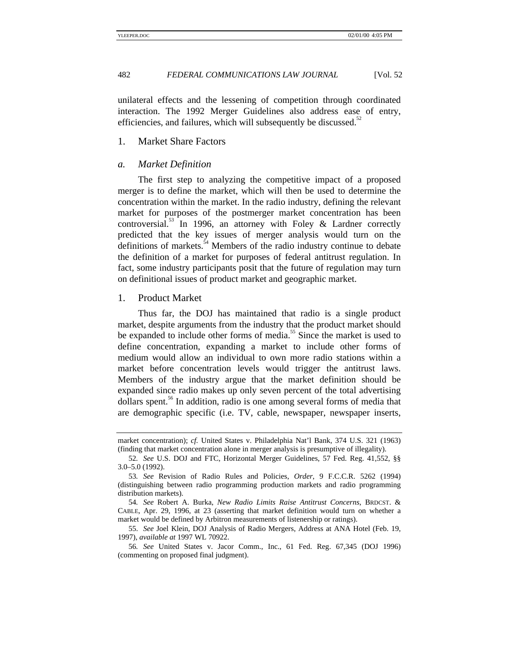unilateral effects and the lessening of competition through coordinated interaction. The 1992 Merger Guidelines also address ease of entry, efficiencies, and failures, which will subsequently be discussed.<sup>52</sup>

#### 1. Market Share Factors

#### *a. Market Definition*

The first step to analyzing the competitive impact of a proposed merger is to define the market, which will then be used to determine the concentration within the market. In the radio industry, defining the relevant market for purposes of the postmerger market concentration has been controversial.<sup>53</sup> In 1996, an attorney with Foley & Lardner correctly predicted that the key issues of merger analysis would turn on the definitions of markets.<sup>54</sup> Members of the radio industry continue to debate the definition of a market for purposes of federal antitrust regulation. In fact, some industry participants posit that the future of regulation may turn on definitional issues of product market and geographic market.

# 1. Product Market

Thus far, the DOJ has maintained that radio is a single product market, despite arguments from the industry that the product market should be expanded to include other forms of media.<sup>55</sup> Since the market is used to define concentration, expanding a market to include other forms of medium would allow an individual to own more radio stations within a market before concentration levels would trigger the antitrust laws. Members of the industry argue that the market definition should be expanded since radio makes up only seven percent of the total advertising  $\delta$  dollars spent.<sup>56</sup> In addition, radio is one among several forms of media that are demographic specific (i.e. TV, cable, newspaper, newspaper inserts,

market concentration); *cf.* United States v. Philadelphia Nat'l Bank*,* 374 U.S. 321 (1963) (finding that market concentration alone in merger analysis is presumptive of illegality).

<sup>52</sup>*. See* U.S. DOJ and FTC, Horizontal Merger Guidelines, 57 Fed. Reg. 41,552, §§ 3.0–5.0 (1992).

<sup>53</sup>*. See* Revision of Radio Rules and Policies, *Order*, 9 F.C.C.R. 5262 (1994) (distinguishing between radio programming production markets and radio programming distribution markets).

<sup>54</sup>*. See* Robert A. Burka, *New Radio Limits Raise Antitrust Concerns*, BRDCST. & CABLE, Apr. 29, 1996, at 23 (asserting that market definition would turn on whether a market would be defined by Arbitron measurements of listenership or ratings).

<sup>55.</sup> *See* Joel Klein, DOJ Analysis of Radio Mergers, Address at ANA Hotel (Feb. 19, 1997), *available at* 1997 WL 70922.

<sup>56</sup>*. See* United States v. Jacor Comm., Inc., 61 Fed. Reg. 67,345 (DOJ 1996) (commenting on proposed final judgment).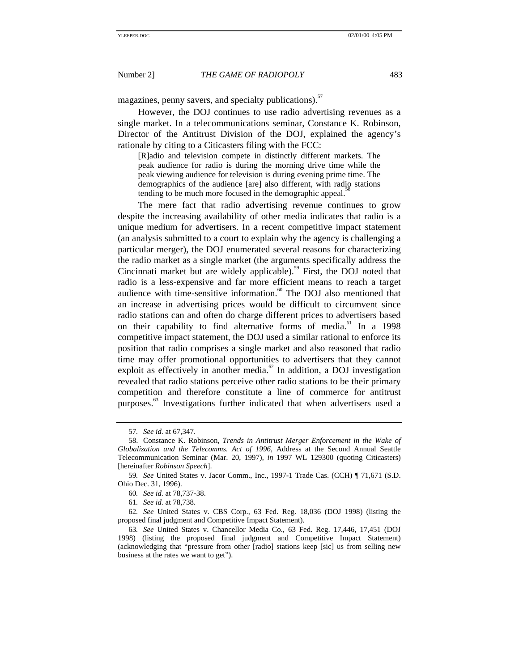magazines, penny savers, and specialty publications).<sup>57</sup>

However, the DOJ continues to use radio advertising revenues as a single market. In a telecommunications seminar, Constance K. Robinson, Director of the Antitrust Division of the DOJ, explained the agency's rationale by citing to a Citicasters filing with the FCC:

[R]adio and television compete in distinctly different markets. The peak audience for radio is during the morning drive time while the peak viewing audience for television is during evening prime time. The demographics of the audience [are] also different, with radio stations tending to be much more focused in the demographic appeal.<sup>5</sup>

The mere fact that radio advertising revenue continues to grow despite the increasing availability of other media indicates that radio is a unique medium for advertisers. In a recent competitive impact statement (an analysis submitted to a court to explain why the agency is challenging a particular merger), the DOJ enumerated several reasons for characterizing the radio market as a single market (the arguments specifically address the Cincinnati market but are widely applicable).<sup>59</sup> First, the DOJ noted that radio is a less-expensive and far more efficient means to reach a target audience with time-sensitive information.<sup>60</sup> The DOJ also mentioned that an increase in advertising prices would be difficult to circumvent since radio stations can and often do charge different prices to advertisers based on their capability to find alternative forms of media.<sup>61</sup> In a 1998 competitive impact statement, the DOJ used a similar rational to enforce its position that radio comprises a single market and also reasoned that radio time may offer promotional opportunities to advertisers that they cannot exploit as effectively in another media. $62$  In addition, a DOJ investigation revealed that radio stations perceive other radio stations to be their primary competition and therefore constitute a line of commerce for antitrust purposes.<sup>63</sup> Investigations further indicated that when advertisers used a

<sup>57</sup>*. See id.* at 67,347.

<sup>58.</sup> Constance K. Robinson, *Trends in Antitrust Merger Enforcement in the Wake of Globalization and the Telecomms. Act of 1996*, Address at the Second Annual Seattle Telecommunication Seminar (Mar. 20, 1997), *in* 1997 WL 129300 (quoting Citicasters) [hereinafter *Robinson Speech*].

<sup>59</sup>*. See* United States v. Jacor Comm., Inc., 1997-1 Trade Cas. (CCH) ¶ 71,671 (S.D. Ohio Dec. 31, 1996).

<sup>60</sup>*. See id.* at 78,737-38.

<sup>61</sup>*. See id.* at 78,738.

<sup>62</sup>*. See* United States v. CBS Corp., 63 Fed. Reg. 18,036 (DOJ 1998) (listing the proposed final judgment and Competitive Impact Statement).

<sup>63</sup>*. See* United States v. Chancellor Media Co., 63 Fed. Reg. 17,446, 17,451 (DOJ 1998) (listing the proposed final judgment and Competitive Impact Statement) (acknowledging that "pressure from other [radio] stations keep [sic] us from selling new business at the rates we want to get").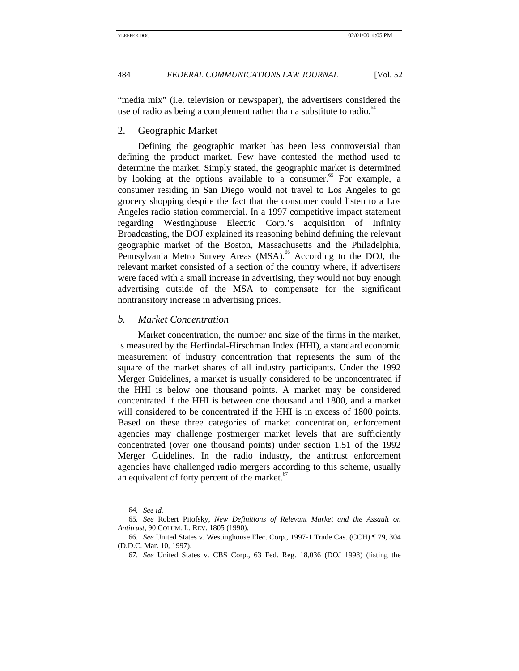"media mix" (i.e. television or newspaper), the advertisers considered the use of radio as being a complement rather than a substitute to radio. $^{64}$ 

#### 2. Geographic Market

Defining the geographic market has been less controversial than defining the product market. Few have contested the method used to determine the market. Simply stated, the geographic market is determined by looking at the options available to a consumer. $\degree$  For example, a consumer residing in San Diego would not travel to Los Angeles to go grocery shopping despite the fact that the consumer could listen to a Los Angeles radio station commercial. In a 1997 competitive impact statement regarding Westinghouse Electric Corp.'s acquisition of Infinity Broadcasting, the DOJ explained its reasoning behind defining the relevant geographic market of the Boston, Massachusetts and the Philadelphia, Pennsylvania Metro Survey Areas (MSA).<sup>66</sup> According to the DOJ, the relevant market consisted of a section of the country where, if advertisers were faced with a small increase in advertising, they would not buy enough advertising outside of the MSA to compensate for the significant nontransitory increase in advertising prices.

#### *b. Market Concentration*

Market concentration, the number and size of the firms in the market, is measured by the Herfindal-Hirschman Index (HHI), a standard economic measurement of industry concentration that represents the sum of the square of the market shares of all industry participants. Under the 1992 Merger Guidelines, a market is usually considered to be unconcentrated if the HHI is below one thousand points. A market may be considered concentrated if the HHI is between one thousand and 1800, and a market will considered to be concentrated if the HHI is in excess of 1800 points. Based on these three categories of market concentration, enforcement agencies may challenge postmerger market levels that are sufficiently concentrated (over one thousand points) under section 1.51 of the 1992 Merger Guidelines. In the radio industry, the antitrust enforcement agencies have challenged radio mergers according to this scheme, usually an equivalent of forty percent of the market. $67$ 

<sup>64</sup>*. See id.*

<sup>65</sup>*. See* Robert Pitofsky, *New Definitions of Relevant Market and the Assault on Antitrust*, 90 COLUM. L. REV. 1805 (1990).

<sup>66</sup>*. See* United States v. Westinghouse Elec. Corp.*,* 1997-1 Trade Cas. (CCH) ¶ 79, 304 (D.D.C. Mar. 10, 1997).

<sup>67</sup>*. See* United States v. CBS Corp., 63 Fed. Reg. 18,036 (DOJ 1998) (listing the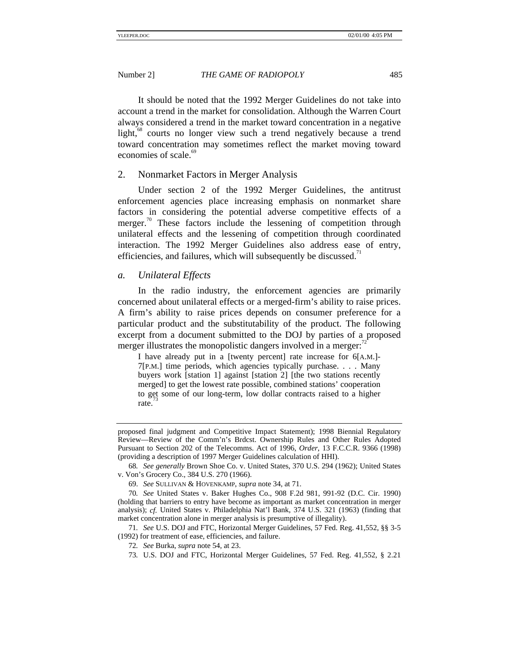It should be noted that the 1992 Merger Guidelines do not take into account a trend in the market for consolidation. Although the Warren Court always considered a trend in the market toward concentration in a negative light, $\frac{8}{3}$  courts no longer view such a trend negatively because a trend toward concentration may sometimes reflect the market moving toward economies of scale.<sup>69</sup>

#### 2. Nonmarket Factors in Merger Analysis

Under section 2 of the 1992 Merger Guidelines, the antitrust enforcement agencies place increasing emphasis on nonmarket share factors in considering the potential adverse competitive effects of a merger.<sup>70</sup> These factors include the lessening of competition through unilateral effects and the lessening of competition through coordinated interaction. The 1992 Merger Guidelines also address ease of entry, efficiencies, and failures, which will subsequently be discussed.<sup>71</sup>

#### *a. Unilateral Effects*

In the radio industry, the enforcement agencies are primarily concerned about unilateral effects or a merged-firm's ability to raise prices. A firm's ability to raise prices depends on consumer preference for a particular product and the substitutability of the product. The following excerpt from a document submitted to the DOJ by parties of a proposed merger illustrates the monopolistic dangers involved in a merger:

I have already put in a [twenty percent] rate increase for 6[A.M.]- 7[P.M.] time periods, which agencies typically purchase. . . . Many buyers work [station 1] against [station 2] [the two stations recently merged] to get the lowest rate possible, combined stations' cooperation to get some of our long-term, low dollar contracts raised to a higher rate.

71*. See* U.S. DOJ and FTC, Horizontal Merger Guidelines, 57 Fed. Reg. 41,552, §§ 3-5 (1992) for treatment of ease, efficiencies, and failure.

proposed final judgment and Competitive Impact Statement); 1998 Biennial Regulatory Review—Review of the Comm'n's Brdcst. Ownership Rules and Other Rules Adopted Pursuant to Section 202 of the Telecomms. Act of 1996, *Order*, 13 F.C.C.R. 9366 (1998) (providing a description of 1997 Merger Guidelines calculation of HHI).

<sup>68</sup>*. See generally* Brown Shoe Co. v. United States, 370 U.S. 294 (1962); United States v. Von's Grocery Co., 384 U.S. 270 (1966).

<sup>69.</sup> *See* SULLIVAN & HOVENKAMP, *supra* note 34, at 71.

<sup>70</sup>*. See* United States v. Baker Hughes Co., 908 F.2d 981, 991-92 (D.C. Cir. 1990) (holding that barriers to entry have become as important as market concentration in merger analysis); *cf.* United States v. Philadelphia Nat'l Bank, 374 U.S. 321 (1963) (finding that market concentration alone in merger analysis is presumptive of illegality).

<sup>72</sup>*. See* Burka, *supra* note 54, at 23.

<sup>73</sup>*.* U.S. DOJ and FTC, Horizontal Merger Guidelines, 57 Fed. Reg. 41,552, § 2.21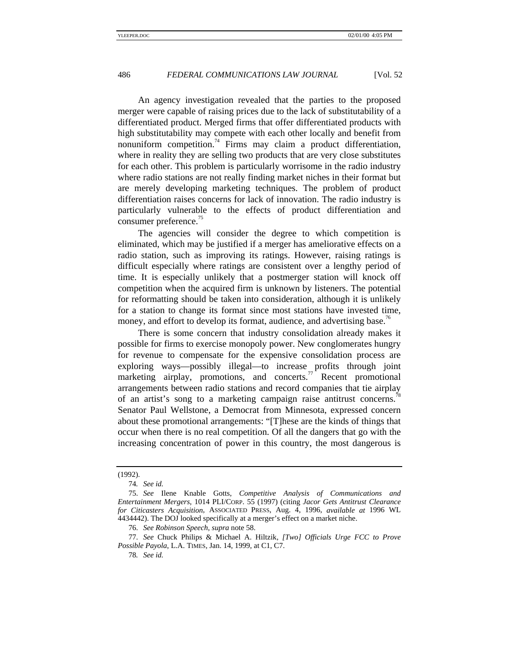An agency investigation revealed that the parties to the proposed merger were capable of raising prices due to the lack of substitutability of a differentiated product. Merged firms that offer differentiated products with high substitutability may compete with each other locally and benefit from nonuniform competition.<sup>74</sup> Firms may claim a product differentiation, where in reality they are selling two products that are very close substitutes for each other. This problem is particularly worrisome in the radio industry where radio stations are not really finding market niches in their format but are merely developing marketing techniques. The problem of product differentiation raises concerns for lack of innovation. The radio industry is particularly vulnerable to the effects of product differentiation and consumer preference.<sup>15</sup>

The agencies will consider the degree to which competition is eliminated, which may be justified if a merger has ameliorative effects on a radio station, such as improving its ratings. However, raising ratings is difficult especially where ratings are consistent over a lengthy period of time. It is especially unlikely that a postmerger station will knock off competition when the acquired firm is unknown by listeners. The potential for reformatting should be taken into consideration, although it is unlikely for a station to change its format since most stations have invested time, money, and effort to develop its format, audience, and advertising base.<sup>76</sup>

There is some concern that industry consolidation already makes it possible for firms to exercise monopoly power. New conglomerates hungry for revenue to compensate for the expensive consolidation process are exploring ways—possibly illegal—to increase profits through joint marketing airplay, promotions, and concerts.<sup>77</sup> Recent promotional arrangements between radio stations and record companies that tie airplay of an artist's song to a marketing campaign raise antitrust concerns. Senator Paul Wellstone, a Democrat from Minnesota, expressed concern about these promotional arrangements: "[T]hese are the kinds of things that occur when there is no real competition. Of all the dangers that go with the increasing concentration of power in this country, the most dangerous is

<sup>(1992).</sup>

<sup>74</sup>*. See id.*

<sup>75.</sup> *See* Ilene Knable Gotts, *Competitive Analysis of Communications and Entertainment Mergers*, 1014 PLI/CORP. 55 (1997) (citing *Jacor Gets Antitrust Clearance for Citicasters Acquisition*, ASSOCIATED PRESS, Aug. 4, 1996, *available at* 1996 WL 4434442). The DOJ looked specifically at a merger's effect on a market niche.

<sup>76.</sup> *See Robinson Speech*, *supra* note 58.

<sup>77.</sup> *See* Chuck Philips & Michael A. Hiltzik, *[Two] Officials Urge FCC to Prove Possible Payola*, L.A. TIMES*,* Jan. 14, 1999, at C1, C7.

<sup>78</sup>*. See id.*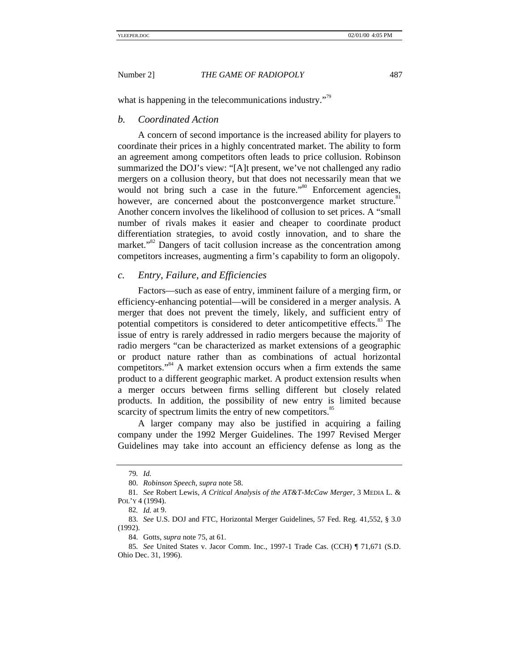what is happening in the telecommunications industry."<sup>79</sup>

#### *b. Coordinated Action*

A concern of second importance is the increased ability for players to coordinate their prices in a highly concentrated market. The ability to form an agreement among competitors often leads to price collusion. Robinson summarized the DOJ's view: "[A]t present, we've not challenged any radio mergers on a collusion theory, but that does not necessarily mean that we would not bring such a case in the future."<sup>80</sup> Enforcement agencies, however, are concerned about the postconvergence market structure.<sup>81</sup> Another concern involves the likelihood of collusion to set prices. A "small number of rivals makes it easier and cheaper to coordinate product differentiation strategies, to avoid costly innovation, and to share the market."<sup>82</sup> Dangers of tacit collusion increase as the concentration among competitors increases, augmenting a firm's capability to form an oligopoly.

#### *c. Entry, Failure, and Efficiencies*

Factors—such as ease of entry, imminent failure of a merging firm, or efficiency-enhancing potential—will be considered in a merger analysis. A merger that does not prevent the timely, likely, and sufficient entry of potential competitors is considered to deter anticompetitive effects.<sup>83</sup> The issue of entry is rarely addressed in radio mergers because the majority of radio mergers "can be characterized as market extensions of a geographic or product nature rather than as combinations of actual horizontal competitors."<sup>84</sup> A market extension occurs when a firm extends the same product to a different geographic market. A product extension results when a merger occurs between firms selling different but closely related products. In addition, the possibility of new entry is limited because scarcity of spectrum limits the entry of new competitors.<sup>85</sup>

A larger company may also be justified in acquiring a failing company under the 1992 Merger Guidelines. The 1997 Revised Merger Guidelines may take into account an efficiency defense as long as the

<sup>79</sup>*. Id.*

<sup>80.</sup> *Robinson Speech*, *supra* note 58.

<sup>81</sup>*. See* Robert Lewis, *A Critical Analysis of the AT&T-McCaw Merger*, 3 MEDIA L. & POL'Y 4 (1994).

<sup>82</sup>*. Id.* at 9.

<sup>83.</sup> *See* U.S. DOJ and FTC, Horizontal Merger Guidelines, 57 Fed. Reg. 41,552, § 3.0 (1992).

<sup>84.</sup> Gotts, *supra* note 75, at 61.

<sup>85</sup>*. See* United States v. Jacor Comm. Inc., 1997-1 Trade Cas. (CCH) ¶ 71,671 (S.D. Ohio Dec. 31, 1996).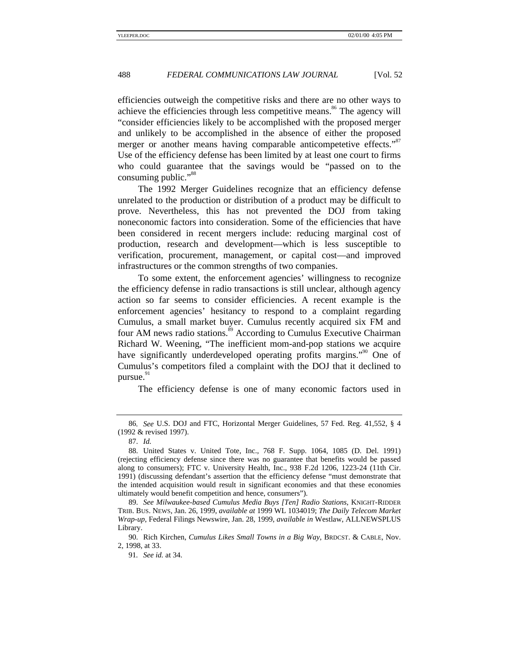efficiencies outweigh the competitive risks and there are no other ways to achieve the efficiencies through less competitive means.<sup>86</sup> The agency will "consider efficiencies likely to be accomplished with the proposed merger and unlikely to be accomplished in the absence of either the proposed merger or another means having comparable anticompetetive effects."<sup>87</sup> Use of the efficiency defense has been limited by at least one court to firms who could guarantee that the savings would be "passed on to the consuming public."<sup>88</sup>

The 1992 Merger Guidelines recognize that an efficiency defense unrelated to the production or distribution of a product may be difficult to prove. Nevertheless, this has not prevented the DOJ from taking noneconomic factors into consideration. Some of the efficiencies that have been considered in recent mergers include: reducing marginal cost of production, research and development—which is less susceptible to verification, procurement, management, or capital cost—and improved infrastructures or the common strengths of two companies.

To some extent, the enforcement agencies' willingness to recognize the efficiency defense in radio transactions is still unclear, although agency action so far seems to consider efficiencies. A recent example is the enforcement agencies' hesitancy to respond to a complaint regarding Cumulus, a small market buyer. Cumulus recently acquired six FM and four AM news radio stations.<sup>89</sup> According to Cumulus Executive Chairman Richard W. Weening, "The inefficient mom-and-pop stations we acquire have significantly underdeveloped operating profits margins."<sup>90</sup> One of Cumulus's competitors filed a complaint with the DOJ that it declined to pursue. $91$ 

The efficiency defense is one of many economic factors used in

<sup>86</sup>*. See* U.S. DOJ and FTC, Horizontal Merger Guidelines, 57 Fed. Reg. 41,552, § 4 (1992 & revised 1997).

<sup>87.</sup> *Id.*

<sup>88.</sup> United States v. United Tote, Inc., 768 F. Supp. 1064, 1085 (D. Del. 1991) (rejecting efficiency defense since there was no guarantee that benefits would be passed along to consumers); FTC v. University Health, Inc., 938 F.2d 1206, 1223-24 (11th Cir. 1991) (discussing defendant's assertion that the efficiency defense "must demonstrate that the intended acquisition would result in significant economies and that these economies ultimately would benefit competition and hence, consumers").

<sup>89.</sup> *See Milwaukee-based Cumulus Media Buys [Ten] Radio Stations*, KNIGHT-RIDDER TRIB. BUS. NEWS, Jan. 26, 1999, *available at* 1999 WL 1034019; *The Daily Telecom Market Wrap-up*, Federal Filings Newswire, Jan. 28, 1999, *available in* Westlaw, ALLNEWSPLUS Library.

<sup>90.</sup> Rich Kirchen, *Cumulus Likes Small Towns in a Big Way*, BRDCST. & CABLE, Nov. 2, 1998, at 33.

<sup>91</sup>*. See id.* at 34.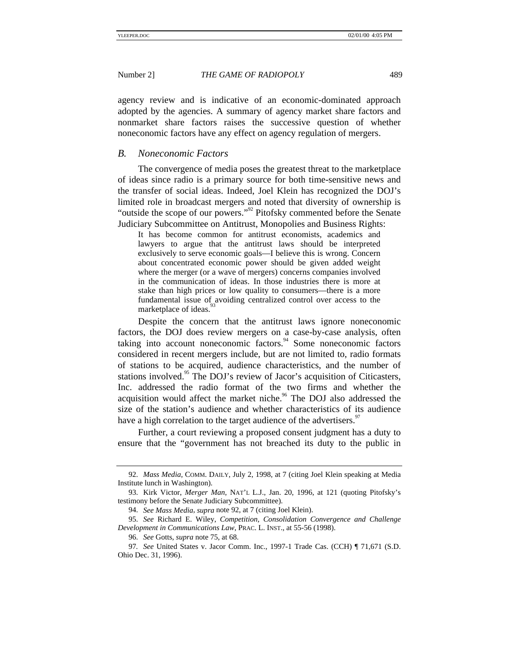agency review and is indicative of an economic-dominated approach adopted by the agencies. A summary of agency market share factors and nonmarket share factors raises the successive question of whether noneconomic factors have any effect on agency regulation of mergers.

#### *B. Noneconomic Factors*

The convergence of media poses the greatest threat to the marketplace of ideas since radio is a primary source for both time-sensitive news and the transfer of social ideas. Indeed, Joel Klein has recognized the DOJ's limited role in broadcast mergers and noted that diversity of ownership is "outside the scope of our powers."<sup>92</sup> Pitofsky commented before the Senate Judiciary Subcommittee on Antitrust, Monopolies and Business Rights:

It has become common for antitrust economists, academics and lawyers to argue that the antitrust laws should be interpreted exclusively to serve economic goals—I believe this is wrong. Concern about concentrated economic power should be given added weight where the merger (or a wave of mergers) concerns companies involved in the communication of ideas. In those industries there is more at stake than high prices or low quality to consumers—there is a more fundamental issue of avoiding centralized control over access to the marketplace of ideas.

Despite the concern that the antitrust laws ignore noneconomic factors, the DOJ does review mergers on a case-by-case analysis, often taking into account noneconomic factors.  $94$  Some noneconomic factors considered in recent mergers include, but are not limited to, radio formats of stations to be acquired, audience characteristics, and the number of stations involved.<sup>95</sup> The DOJ's review of Jacor's acquisition of Citicasters, Inc. addressed the radio format of the two firms and whether the acquisition would affect the market niche.<sup>96</sup> The DOJ also addressed the size of the station's audience and whether characteristics of its audience have a high correlation to the target audience of the advertisers.<sup>9</sup>

Further, a court reviewing a proposed consent judgment has a duty to ensure that the "government has not breached its duty to the public in

<sup>92.</sup> *Mass Media*, COMM. DAILY, July 2, 1998, at 7 (citing Joel Klein speaking at Media Institute lunch in Washington).

<sup>93.</sup> Kirk Victor, *Merger Man*, NAT'L L.J., Jan. 20, 1996, at 121 (quoting Pitofsky's testimony before the Senate Judiciary Subcommittee).

<sup>94.</sup> *See Mass Media*, *supra* note 92, at 7 (citing Joel Klein).

<sup>95.</sup> *See* Richard E. Wiley, *Competition, Consolidation Convergence and Challenge Development in Communications Law*, PRAC. L. INST., at 55-56 (1998).

<sup>96.</sup> *See* Gotts, *supra* note 75, at 68.

<sup>97</sup>*. See* United States v. Jacor Comm. Inc., 1997-1 Trade Cas. (CCH) ¶ 71,671 (S.D. Ohio Dec. 31, 1996).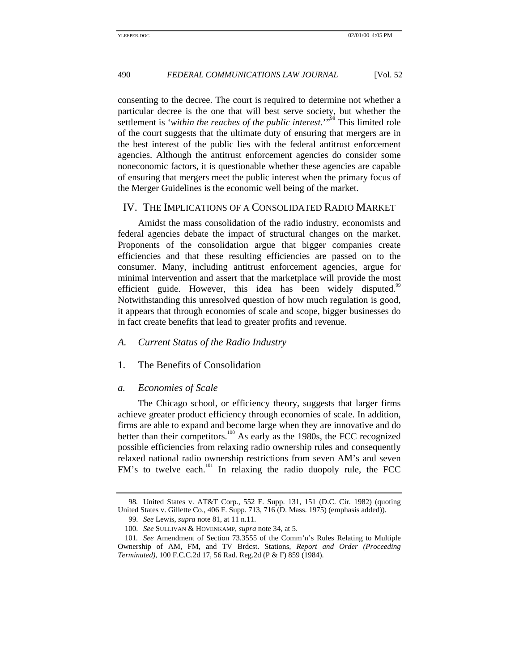consenting to the decree. The court is required to determine not whether a particular decree is the one that will best serve society, but whether the settlement is '*within the reaches of the public interest*.'"98 This limited role of the court suggests that the ultimate duty of ensuring that mergers are in the best interest of the public lies with the federal antitrust enforcement agencies. Although the antitrust enforcement agencies do consider some noneconomic factors, it is questionable whether these agencies are capable of ensuring that mergers meet the public interest when the primary focus of the Merger Guidelines is the economic well being of the market.

#### IV. THE IMPLICATIONS OF A CONSOLIDATED RADIO MARKET

Amidst the mass consolidation of the radio industry, economists and federal agencies debate the impact of structural changes on the market. Proponents of the consolidation argue that bigger companies create efficiencies and that these resulting efficiencies are passed on to the consumer. Many, including antitrust enforcement agencies, argue for minimal intervention and assert that the marketplace will provide the most efficient guide. However, this idea has been widely disputed.<sup>99</sup> Notwithstanding this unresolved question of how much regulation is good, it appears that through economies of scale and scope, bigger businesses do in fact create benefits that lead to greater profits and revenue.

#### *A. Current Status of the Radio Industry*

1. The Benefits of Consolidation

#### *a. Economies of Scale*

The Chicago school, or efficiency theory, suggests that larger firms achieve greater product efficiency through economies of scale. In addition, firms are able to expand and become large when they are innovative and do better than their competitors.<sup>100</sup> As early as the 1980s, the FCC recognized possible efficiencies from relaxing radio ownership rules and consequently relaxed national radio ownership restrictions from seven AM's and seven FM's to twelve each.<sup>101</sup> In relaxing the radio duopoly rule, the FCC

<sup>98</sup>*.* United States v. AT&T Corp., 552 F. Supp. 131, 151 (D.C. Cir. 1982) (quoting United States v. Gillette Co., 406 F. Supp. 713, 716 (D. Mass. 1975) (emphasis added)).

<sup>99.</sup> *See* Lewis, *supra* note 81, at 11 n.11.

<sup>100.</sup> *See* SULLIVAN & HOVENKAMP, *supra* note 34, at 5.

<sup>101</sup>*. See* Amendment of Section 73.3555 of the Comm'n's Rules Relating to Multiple Ownership of AM, FM, and TV Brdcst. Stations, *Report and Order (Proceeding Terminated)*, 100 F.C.C.2d 17, 56 Rad. Reg.2d (P & F) 859 (1984).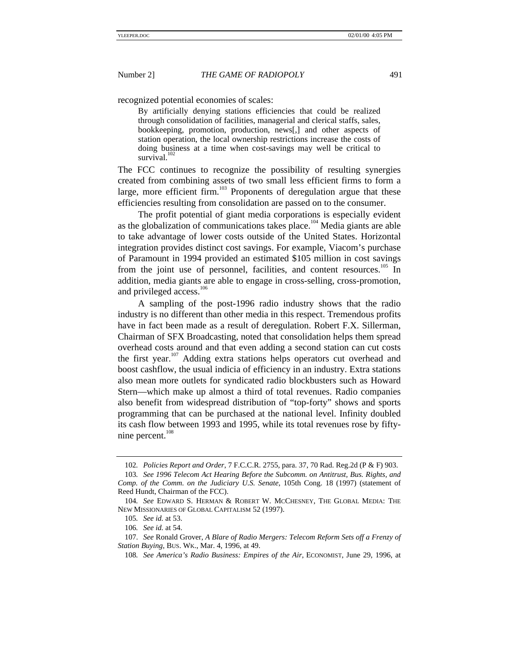recognized potential economies of scales:

By artificially denying stations efficiencies that could be realized through consolidation of facilities, managerial and clerical staffs, sales, bookkeeping, promotion, production, news[,] and other aspects of station operation, the local ownership restrictions increase the costs of doing business at a time when cost-savings may well be critical to survival.

The FCC continues to recognize the possibility of resulting synergies created from combining assets of two small less efficient firms to form a large, more efficient firm.<sup>103</sup> Proponents of deregulation argue that these efficiencies resulting from consolidation are passed on to the consumer.

The profit potential of giant media corporations is especially evident as the globalization of communications takes place.<sup>104</sup> Media giants are able to take advantage of lower costs outside of the United States. Horizontal integration provides distinct cost savings. For example, Viacom's purchase of Paramount in 1994 provided an estimated \$105 million in cost savings from the joint use of personnel, facilities, and content resources.<sup>105</sup> In addition, media giants are able to engage in cross-selling, cross-promotion, and privileged access.<sup>106</sup>

A sampling of the post-1996 radio industry shows that the radio industry is no different than other media in this respect. Tremendous profits have in fact been made as a result of deregulation. Robert F.X. Sillerman, Chairman of SFX Broadcasting, noted that consolidation helps them spread overhead costs around and that even adding a second station can cut costs the first year.<sup>107</sup> Adding extra stations helps operators cut overhead and boost cashflow, the usual indicia of efficiency in an industry. Extra stations also mean more outlets for syndicated radio blockbusters such as Howard Stern—which make up almost a third of total revenues. Radio companies also benefit from widespread distribution of "top-forty" shows and sports programming that can be purchased at the national level. Infinity doubled its cash flow between 1993 and 1995, while its total revenues rose by fiftynine percent.<sup>108</sup>

<sup>102</sup>*. Policies Report and Order*, 7 F.C.C.R. 2755, para. 37, 70 Rad. Reg.2d (P & F) 903.

<sup>103</sup>*. See 1996 Telecom Act Hearing Before the Subcomm. on Antitrust, Bus. Rights, and Comp. of the Comm. on the Judiciary U.S. Senate*, 105th Cong. 18 (1997) (statement of Reed Hundt, Chairman of the FCC).

<sup>104</sup>*. See* EDWARD S. HERMAN & ROBERT W. MCCHESNEY, THE GLOBAL MEDIA: THE NEW MISSIONARIES OF GLOBAL CAPITALISM 52 (1997).

<sup>105</sup>*. See id.* at 53.

<sup>106</sup>*. See id.* at 54.

<sup>107.</sup> *See* Ronald Grover, *A Blare of Radio Mergers: Telecom Reform Sets off a Frenzy of Station Buying*, BUS. WK., Mar. 4, 1996, at 49.

<sup>108</sup>*. See America's Radio Business: Empires of the Air*, ECONOMIST, June 29, 1996, at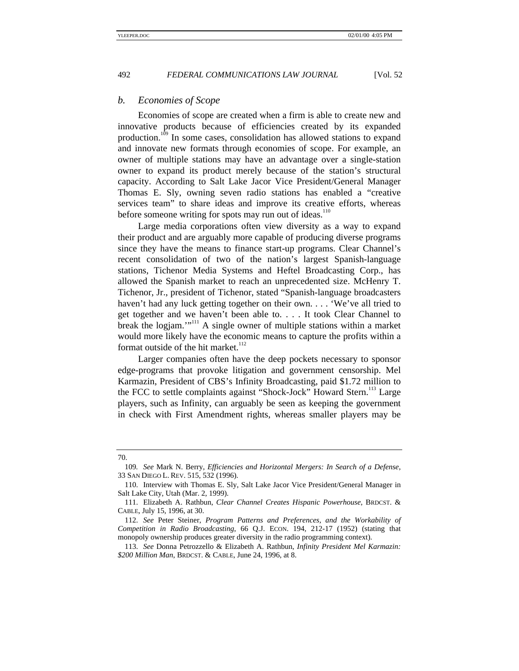### *b. Economies of Scope*

Economies of scope are created when a firm is able to create new and innovative products because of efficiencies created by its expanded production.<sup>109</sup> In some cases, consolidation has allowed stations to expand and innovate new formats through economies of scope. For example, an owner of multiple stations may have an advantage over a single-station owner to expand its product merely because of the station's structural capacity. According to Salt Lake Jacor Vice President/General Manager Thomas E. Sly, owning seven radio stations has enabled a "creative services team" to share ideas and improve its creative efforts, whereas before someone writing for spots may run out of ideas.<sup>110</sup>

Large media corporations often view diversity as a way to expand their product and are arguably more capable of producing diverse programs since they have the means to finance start-up programs. Clear Channel's recent consolidation of two of the nation's largest Spanish-language stations, Tichenor Media Systems and Heftel Broadcasting Corp., has allowed the Spanish market to reach an unprecedented size. McHenry T. Tichenor, Jr., president of Tichenor, stated "Spanish-language broadcasters haven't had any luck getting together on their own. . . . 'We've all tried to get together and we haven't been able to. . . . It took Clear Channel to break the logjam."<sup>111</sup> A single owner of multiple stations within a market would more likely have the economic means to capture the profits within a format outside of the hit market. $112$ 

Larger companies often have the deep pockets necessary to sponsor edge-programs that provoke litigation and government censorship. Mel Karmazin, President of CBS's Infinity Broadcasting, paid \$1.72 million to the FCC to settle complaints against "Shock-Jock" Howard Stern.<sup>113</sup> Large players, such as Infinity, can arguably be seen as keeping the government in check with First Amendment rights, whereas smaller players may be

<sup>70.</sup>

<sup>109</sup>*. See* Mark N. Berry, *Efficiencies and Horizontal Mergers: In Search of a Defense*, 33 SAN DIEGO L. REV. 515, 532 (1996).

<sup>110.</sup> Interview with Thomas E. Sly, Salt Lake Jacor Vice President/General Manager in Salt Lake City, Utah (Mar. 2, 1999).

<sup>111.</sup> Elizabeth A. Rathbun, *Clear Channel Creates Hispanic Powerhouse*, BRDCST. & CABLE, July 15, 1996, at 30.

<sup>112.</sup> *See* Peter Steiner, *Program Patterns and Preferences, and the Workability of Competition in Radio Broadcasting*, 66 Q.J. ECON. 194, 212-17 (1952) (stating that monopoly ownership produces greater diversity in the radio programming context).

<sup>113.</sup> *See* Donna Petrozzello & Elizabeth A. Rathbun, *Infinity President Mel Karmazin: \$200 Million Man*, BRDCST. & CABLE, June 24, 1996, at 8.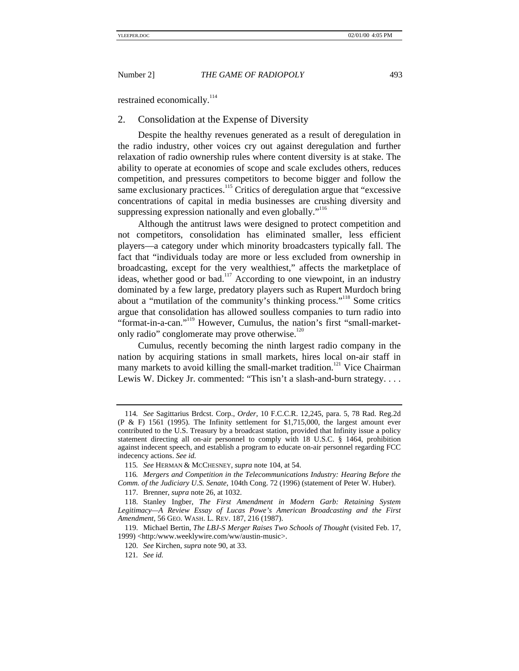restrained economically.<sup>114</sup>

#### 2. Consolidation at the Expense of Diversity

Despite the healthy revenues generated as a result of deregulation in the radio industry, other voices cry out against deregulation and further relaxation of radio ownership rules where content diversity is at stake. The ability to operate at economies of scope and scale excludes others, reduces competition, and pressures competitors to become bigger and follow the same exclusionary practices.<sup>115</sup> Critics of deregulation argue that "excessive concentrations of capital in media businesses are crushing diversity and suppressing expression nationally and even globally."<sup>116</sup>

Although the antitrust laws were designed to protect competition and not competitors, consolidation has eliminated smaller, less efficient players—a category under which minority broadcasters typically fall. The fact that "individuals today are more or less excluded from ownership in broadcasting, except for the very wealthiest," affects the marketplace of ideas, whether good or bad.<sup>117</sup> According to one viewpoint, in an industry dominated by a few large, predatory players such as Rupert Murdoch bring about a "mutilation of the community's thinking process."<sup>118</sup> Some critics argue that consolidation has allowed soulless companies to turn radio into "format-in-a-can."<sup>119</sup> However, Cumulus, the nation's first "small-marketonly radio" conglomerate may prove otherwise. $120$ 

Cumulus, recently becoming the ninth largest radio company in the nation by acquiring stations in small markets, hires local on-air staff in many markets to avoid killing the small-market tradition.<sup>121</sup> Vice Chairman Lewis W. Dickey Jr. commented: "This isn't a slash-and-burn strategy....

<sup>114</sup>*. See* Sagittarius Brdcst. Corp., *Order*, 10 F.C.C.R. 12,245, para. 5, 78 Rad. Reg.2d (P & F) 1561 (1995). The Infinity settlement for \$1,715,000, the largest amount ever contributed to the U.S. Treasury by a broadcast station, provided that Infinity issue a policy statement directing all on-air personnel to comply with 18 U.S.C. § 1464, prohibition against indecent speech, and establish a program to educate on-air personnel regarding FCC indecency actions. *See id.*

<sup>115</sup>*. See* HERMAN & MCCHESNEY, *supra* note 104, at 54.

<sup>116</sup>*. Mergers and Competition in the Telecommunications Industry: Hearing Before the Comm. of the Judiciary U.S. Senate*, 104th Cong. 72 (1996) (statement of Peter W. Huber).

<sup>117.</sup> Brenner, *supra* note 26, at 1032.

<sup>118.</sup> Stanley Ingber, *The First Amendment in Modern Garb: Retaining System Legitimacy—A Review Essay of Lucas Powe's American Broadcasting and the First Amendment*, 56 GEO. WASH. L. REV. 187, 216 (1987).

<sup>119.</sup> Michael Bertin, *The LBJ-S Merger Raises Two Schools of Thought* (visited Feb. 17, 1999) <http:/www.weeklywire.com/ww/austin-music>.

<sup>120.</sup> *See* Kirchen, *supra* note 90, at 33.

<sup>121</sup>*. See id.*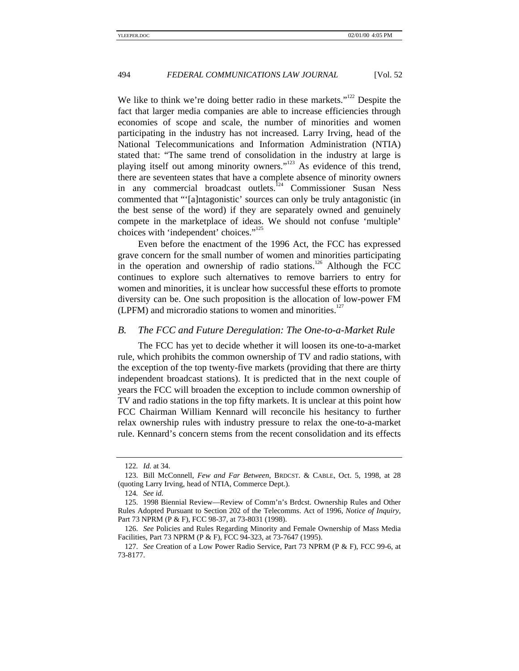We like to think we're doing better radio in these markets."<sup>122</sup> Despite the fact that larger media companies are able to increase efficiencies through economies of scope and scale, the number of minorities and women participating in the industry has not increased. Larry Irving, head of the National Telecommunications and Information Administration (NTIA) stated that: "The same trend of consolidation in the industry at large is playing itself out among minority owners."<sup>123</sup> As evidence of this trend, there are seventeen states that have a complete absence of minority owners in any commercial broadcast outlets.<sup>124</sup> Commissioner Susan Ness commented that "'[a]ntagonistic' sources can only be truly antagonistic (in the best sense of the word) if they are separately owned and genuinely compete in the marketplace of ideas. We should not confuse 'multiple' choices with 'independent' choices."<sup>125</sup>

Even before the enactment of the 1996 Act, the FCC has expressed grave concern for the small number of women and minorities participating in the operation and ownership of radio stations.<sup>126</sup> Although the FCC continues to explore such alternatives to remove barriers to entry for women and minorities, it is unclear how successful these efforts to promote diversity can be. One such proposition is the allocation of low-power FM (LPFM) and microradio stations to women and minorities.<sup>127</sup>

#### *B. The FCC and Future Deregulation: The One-to-a-Market Rule*

The FCC has yet to decide whether it will loosen its one-to-a-market rule, which prohibits the common ownership of TV and radio stations, with the exception of the top twenty-five markets (providing that there are thirty independent broadcast stations). It is predicted that in the next couple of years the FCC will broaden the exception to include common ownership of TV and radio stations in the top fifty markets. It is unclear at this point how FCC Chairman William Kennard will reconcile his hesitancy to further relax ownership rules with industry pressure to relax the one-to-a-market rule. Kennard's concern stems from the recent consolidation and its effects

<sup>122</sup>*. Id.* at 34.

<sup>123.</sup> Bill McConnell, *Few and Far Between*, BRDCST. & CABLE, Oct. 5, 1998, at 28 (quoting Larry Irving, head of NTIA, Commerce Dept.).

<sup>124</sup>*. See id.*

<sup>125. 1998</sup> Biennial Review—Review of Comm'n's Brdcst. Ownership Rules and Other Rules Adopted Pursuant to Section 202 of the Telecomms. Act of 1996, *Notice of Inquiry*, Part 73 NPRM (P & F), FCC 98-37, at 73-8031 (1998).

<sup>126.</sup> *See* Policies and Rules Regarding Minority and Female Ownership of Mass Media Facilities, Part 73 NPRM (P & F), FCC 94-323, at 73-7647 (1995).

<sup>127.</sup> *See* Creation of a Low Power Radio Service, Part 73 NPRM (P & F), FCC 99-6, at 73-8177.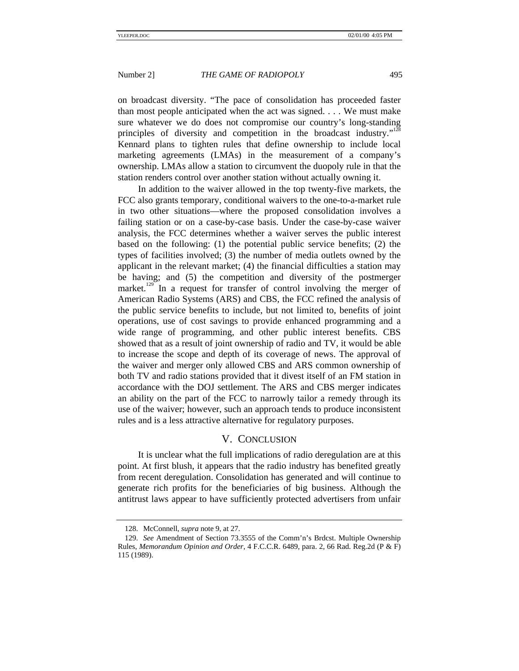on broadcast diversity. "The pace of consolidation has proceeded faster than most people anticipated when the act was signed. . . . We must make sure whatever we do does not compromise our country's long-standing principles of diversity and competition in the broadcast industry."<sup>128</sup> Kennard plans to tighten rules that define ownership to include local marketing agreements (LMAs) in the measurement of a company's ownership. LMAs allow a station to circumvent the duopoly rule in that the station renders control over another station without actually owning it.

In addition to the waiver allowed in the top twenty-five markets, the FCC also grants temporary, conditional waivers to the one-to-a-market rule in two other situations—where the proposed consolidation involves a failing station or on a case-by-case basis. Under the case-by-case waiver analysis, the FCC determines whether a waiver serves the public interest based on the following: (1) the potential public service benefits; (2) the types of facilities involved; (3) the number of media outlets owned by the applicant in the relevant market; (4) the financial difficulties a station may be having; and (5) the competition and diversity of the postmerger market.<sup>129</sup> In a request for transfer of control involving the merger of American Radio Systems (ARS) and CBS, the FCC refined the analysis of the public service benefits to include, but not limited to, benefits of joint operations, use of cost savings to provide enhanced programming and a wide range of programming, and other public interest benefits. CBS showed that as a result of joint ownership of radio and TV, it would be able to increase the scope and depth of its coverage of news. The approval of the waiver and merger only allowed CBS and ARS common ownership of both TV and radio stations provided that it divest itself of an FM station in accordance with the DOJ settlement. The ARS and CBS merger indicates an ability on the part of the FCC to narrowly tailor a remedy through its use of the waiver; however, such an approach tends to produce inconsistent rules and is a less attractive alternative for regulatory purposes.

# V. CONCLUSION

It is unclear what the full implications of radio deregulation are at this point. At first blush, it appears that the radio industry has benefited greatly from recent deregulation. Consolidation has generated and will continue to generate rich profits for the beneficiaries of big business. Although the antitrust laws appear to have sufficiently protected advertisers from unfair

<sup>128.</sup> McConnell, *supra* note 9, at 27.

<sup>129.</sup> *See* Amendment of Section 73.3555 of the Comm'n's Brdcst. Multiple Ownership Rules, *Memorandum Opinion and Order*, 4 F.C.C.R. 6489, para. 2, 66 Rad. Reg.2d (P & F) 115 (1989).